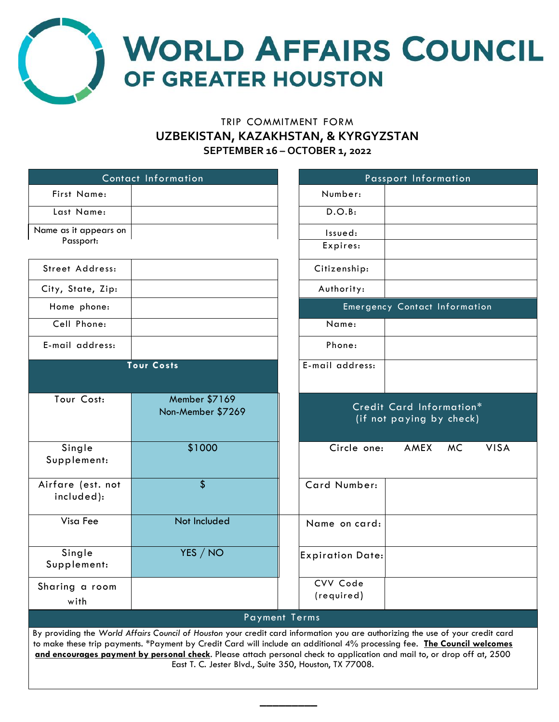

# TRIP COMMITMENT FORM **UZBEKISTAN, KAZAKHSTAN, & KYRGYZSTAN SEPTEMBER 16 – OCTOBER 1, 2022**

|                                                                                                                                                                                                                                                                                                                                                                                                                                                | Contact Information                | Passport Information                                 |
|------------------------------------------------------------------------------------------------------------------------------------------------------------------------------------------------------------------------------------------------------------------------------------------------------------------------------------------------------------------------------------------------------------------------------------------------|------------------------------------|------------------------------------------------------|
| First Name:                                                                                                                                                                                                                                                                                                                                                                                                                                    |                                    | Number:                                              |
| Last Name:                                                                                                                                                                                                                                                                                                                                                                                                                                     |                                    | D.O.B:                                               |
| Name as it appears on                                                                                                                                                                                                                                                                                                                                                                                                                          |                                    | Issued:                                              |
| Passport:                                                                                                                                                                                                                                                                                                                                                                                                                                      |                                    | Expires:                                             |
| Street Address:                                                                                                                                                                                                                                                                                                                                                                                                                                |                                    | Citizenship:                                         |
| City, State, Zip:                                                                                                                                                                                                                                                                                                                                                                                                                              |                                    | Authority:                                           |
| Home phone:                                                                                                                                                                                                                                                                                                                                                                                                                                    |                                    | <b>Emergency Contact Information</b>                 |
| Cell Phone:                                                                                                                                                                                                                                                                                                                                                                                                                                    |                                    | Name:                                                |
| E-mail address:                                                                                                                                                                                                                                                                                                                                                                                                                                |                                    | Phone:                                               |
|                                                                                                                                                                                                                                                                                                                                                                                                                                                | <b>Tour Costs</b>                  | E-mail address:                                      |
| Tour Cost:                                                                                                                                                                                                                                                                                                                                                                                                                                     | Member \$7169<br>Non-Member \$7269 | Credit Card Information*<br>(if not paying by check) |
| Single<br>Supplement:                                                                                                                                                                                                                                                                                                                                                                                                                          | \$1000                             | Circle one:<br>AMEX<br><b>VISA</b><br>MC.            |
| Airfare (est. not<br>included):                                                                                                                                                                                                                                                                                                                                                                                                                | \$                                 | Card Number:                                         |
| Visa Fee                                                                                                                                                                                                                                                                                                                                                                                                                                       | Not Included                       | Name on card:                                        |
| Single<br>Supplement:                                                                                                                                                                                                                                                                                                                                                                                                                          | YES / NO                           | <b>Expiration Date:</b>                              |
| Sharing a room<br>with                                                                                                                                                                                                                                                                                                                                                                                                                         |                                    | CVV Code<br>(required)                               |
| <b>Payment Terms</b>                                                                                                                                                                                                                                                                                                                                                                                                                           |                                    |                                                      |
| By providing the World Affairs Council of Houston your credit card information you are authorizing the use of your credit card<br>to make these trip payments. *Payment by Credit Card will include an additional 4% processing fee. The Council welcomes<br>and encourages payment by personal check. Please attach personal check to application and mail to, or drop off at, 2500<br>East T. C. Jester Blvd., Suite 350, Houston, TX 77008. |                                    |                                                      |

**\_\_\_\_\_\_\_\_\_**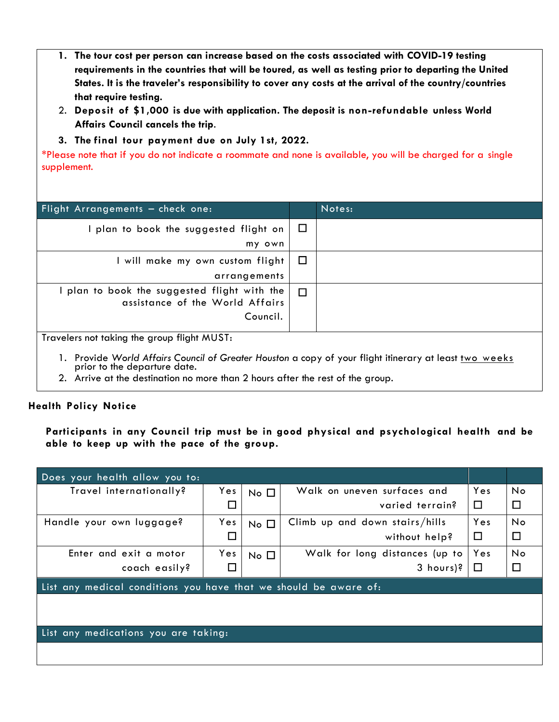- **1. The tour cost per person can increase based on the costs associated with COVID-19 testing requirements in the countries that will be toured, as well as testing prior to departing the United States. It is the traveler's responsibility to cover any costs at the arrival of the country/countries that require testing.**
- 2. **Deposit of \$1,000 is due with application. The deposit is non-refundable unless World Affairs Council cancels the trip**.
- **3. The final tour payment due on July 1st, 2022.**

\*Please note that if you do not indicate a roommate and none is available, you will be charged for a single supplement.

| Flight Arrangements - check one:                                                                                                                                                                                                                                                                                                                                                                                                                                                                                                     |        | Notes: |
|--------------------------------------------------------------------------------------------------------------------------------------------------------------------------------------------------------------------------------------------------------------------------------------------------------------------------------------------------------------------------------------------------------------------------------------------------------------------------------------------------------------------------------------|--------|--------|
| I plan to book the suggested flight on                                                                                                                                                                                                                                                                                                                                                                                                                                                                                               | $\Box$ |        |
| my own                                                                                                                                                                                                                                                                                                                                                                                                                                                                                                                               |        |        |
| I will make my own custom flight                                                                                                                                                                                                                                                                                                                                                                                                                                                                                                     | $\Box$ |        |
| arrangements                                                                                                                                                                                                                                                                                                                                                                                                                                                                                                                         |        |        |
| $\vdash$ plan to book the suggested flight with the $\vert$<br>assistance of the World Affairs                                                                                                                                                                                                                                                                                                                                                                                                                                       | $\Box$ |        |
| Council.                                                                                                                                                                                                                                                                                                                                                                                                                                                                                                                             |        |        |
| Travelers not taking the group flight MUST:<br>$\mathbf{I} \quad \mathbf{A} \quad \mathbf{A} \quad \mathbf{A} \quad \mathbf{A} \quad \mathbf{A} \quad \mathbf{A} \quad \mathbf{A} \quad \mathbf{A} \quad \mathbf{A} \quad \mathbf{A} \quad \mathbf{A} \quad \mathbf{A} \quad \mathbf{A} \quad \mathbf{A} \quad \mathbf{A} \quad \mathbf{A} \quad \mathbf{A} \quad \mathbf{A} \quad \mathbf{A} \quad \mathbf{A} \quad \mathbf{A} \quad \mathbf{A} \quad \mathbf{A} \quad \mathbf{A} \quad \mathbf{A} \quad \mathbf{A} \quad \mathbf{$ |        |        |

- 1. Provide *World Affairs Council of Greater Houston* a copy of your flight itinerary at least two weeks prior to the departure date.
- 2. Arrive at the destination no more than 2 hours after the rest of the group.

## **Health Policy Notice**

**Participants in any Council trip must be in good physical and psychological health and be able to keep up with the pace of the group.**

| Does your health allow you to:                                   |        |                |                                |        |        |
|------------------------------------------------------------------|--------|----------------|--------------------------------|--------|--------|
| Travel internationally?                                          | Yes    | $No$ $\Box$    | Walk on uneven surfaces and    | Yes    | No     |
|                                                                  | □      |                | varied terrain?                | $\Box$ | $\Box$ |
| Handle your own luggage?                                         | Yes    | $No$ $\square$ | Climb up and down stairs/hills | Yes    | No     |
|                                                                  | $\Box$ |                | without help?                  | $\Box$ | $\Box$ |
| Enter and exit a motor                                           | Yes    | $No$ $\Box$    | Walk for long distances (up to | Yes    | No     |
| coach easily?                                                    | □      |                | 3 hours)?                      | $\Box$ | $\Box$ |
| List any medical conditions you have that we should be aware of: |        |                |                                |        |        |
|                                                                  |        |                |                                |        |        |
|                                                                  |        |                |                                |        |        |
| List any medications you are taking:                             |        |                |                                |        |        |
|                                                                  |        |                |                                |        |        |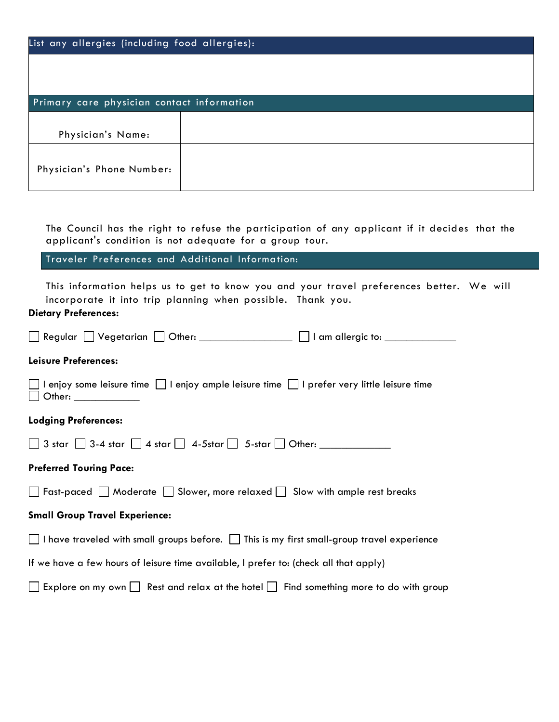| List any allergies (including food allergies): |  |  |
|------------------------------------------------|--|--|
|                                                |  |  |
|                                                |  |  |
| Primary care physician contact information     |  |  |
| Physician's Name:                              |  |  |
| Physician's Phone Number:                      |  |  |

The Council has the right to refuse the participation of any applicant if it decides that the applicant's condition is not adequate for a group tour.

Traveler Preferences and Additional Information:

This information helps us to get to know you and your travel preferences better. We will incorporate it into trip planning when possible. Thank you.

### **Dietary Preferences:**

| Regular Vegetarian Other: 1 am allergic to: 1 am allergic to:                                                             |
|---------------------------------------------------------------------------------------------------------------------------|
| Leisure Preferences:                                                                                                      |
| enjoy some leisure time      enjoy ample leisure time        prefer very little leisure time<br>$\Box$ Other: ___________ |
| <b>Lodging Preferences:</b>                                                                                               |
| $\Box$ 3 star $\Box$ 3-4 star $\Box$ 4 star $\Box$ 4-5star $\Box$ 5-star $\Box$ Other:                                    |
| <b>Preferred Touring Pace:</b>                                                                                            |
| $\Box$ Fast-paced $\Box$ Moderate $\Box$ Slower, more relaxed $\Box$ Slow with ample rest breaks                          |
| <b>Small Group Travel Experience:</b>                                                                                     |
| $\Box$ I have traveled with small groups before. $\Box$ This is my first small-group travel experience                    |
| If we have a few hours of leisure time available, I prefer to: (check all that apply)                                     |
| $\Box$ Explore on my own $\Box$ Rest and relax at the hotel $\Box$ Find something more to do with group                   |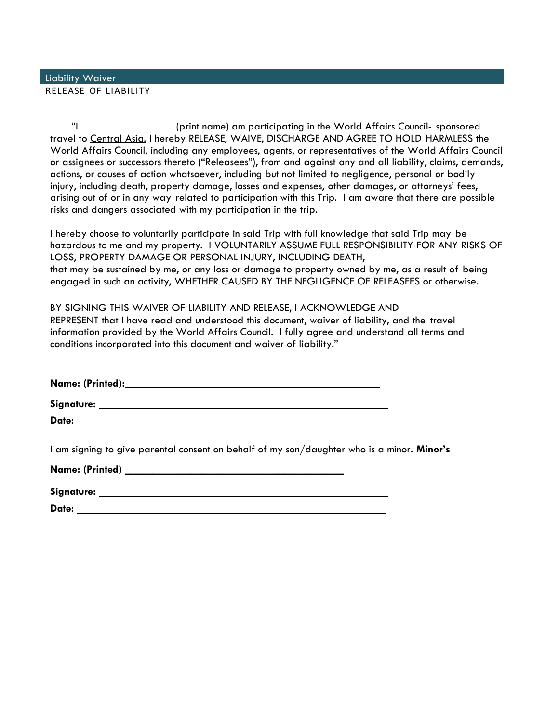### RELEASE OF LIABILITY Liability Waiver

"I (print name) am participating in the World Affairs Council- sponsored travel to Central Asia. I hereby RELEASE, WAIVE, DISCHARGE AND AGREE TO HOLD HARMLESS the World Affairs Council, including any employees, agents, or representatives of the World Affairs Council or assignees or successors thereto ("Releasees"), from and against any and all liability, claims, demands, actions, or causes of action whatsoever, including but not limited to negligence, personal or bodily injury, including death, property damage, losses and expenses, other damages, or attorneys' fees, arising out of or in any way related to participation with this Trip. I am aware that there are possible risks and dangers associated with my participation in the trip.

I hereby choose to voluntarily participate in said Trip with full knowledge that said Trip may be hazardous to me and my property. I VOLUNTARILY ASSUME FULL RESPONSIBILITY FOR ANY RISKS OF LOSS, PROPERTY DAMAGE OR PERSONAL INJURY, INCLUDING DEATH, that may be sustained by me, or any loss or damage to property owned by me, as a result of being engaged in such an activity, WHETHER CAUSED BY THE NEGLIGENCE OF RELEASEES or otherwise.

BY SIGNING THIS WAIVER OF LIABILITY AND RELEASE, I ACKNOWLEDGE AND REPRESENT that I have read and understood this document, waiver of liability, and the travel information provided by the World Affairs Council. I fully agree and understand all terms and conditions incorporated into this document and waiver of liability."

**Name: (Printed): \_\_\_\_\_\_\_\_\_\_\_\_\_\_\_\_\_\_\_\_\_\_\_\_\_\_\_\_\_\_\_\_\_\_\_\_\_\_\_\_\_\_\_\_\_\_**

**Signature: Date:** 

I am signing to give parental consent on behalf of my son/daughter who is a minor. **Minor's** 

| Name: (Printed) |  |  |  |
|-----------------|--|--|--|
| Signature:      |  |  |  |

**Date:**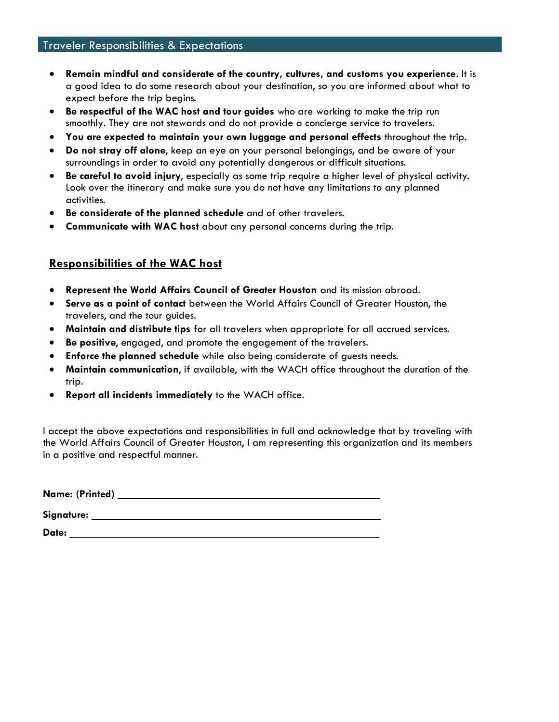- **Remain mindful and considerate of the country, cultures, and customs you experience**. It is a good idea to do some research about your destination, so you are informed about what to expect before the trip begins.
- **Be respectful of the WAC host and tour guides** who are working to make the trip run smoothly. They are not stewards and do not provide a concierge service to travelers.
- **You are expected to maintain your own luggage and personal effects** throughout the trip.
- **Do not stray off alone**, keep an eye on your personal belongings, and be aware of your surroundings in order to avoid any potentially dangerous or difficult situations.
- **Be careful to avoid injury**, especially as some trip require a higher level of physical activity. Look over the itinerary and make sure you do not have any limitations to any planned activities.
- **Be considerate of the planned schedule** and of other travelers.
- **Communicate with WAC host** about any personal concerns during the trip.

## **Responsibilities of the WAC host**

- **Represent the World Affairs Council of Greater Houston** and its mission abroad.
- **Serve as a point of contact** between the World Affairs Council of Greater Houston, the travelers, and the tour guides.
- **Maintain and distribute tips** for all travelers when appropriate for all accrued services.
- **Be positive**, engaged, and promote the engagement of the travelers.
- **Enforce the planned schedule** while also being considerate of guests needs.
- **Maintain communication**, if available, with the WACH office throughout the duration of the trip.
- **Report all incidents immediately** to the WACH office.

I accept the above expectations and responsibilities in full and acknowledge that by traveling with the World Affairs Council of Greater Houston, I am representing this organization and its members in a positive and respectful manner.

| Name: (Printed) |  |  |
|-----------------|--|--|
|                 |  |  |
| Signature:      |  |  |
|                 |  |  |
| Date:           |  |  |
|                 |  |  |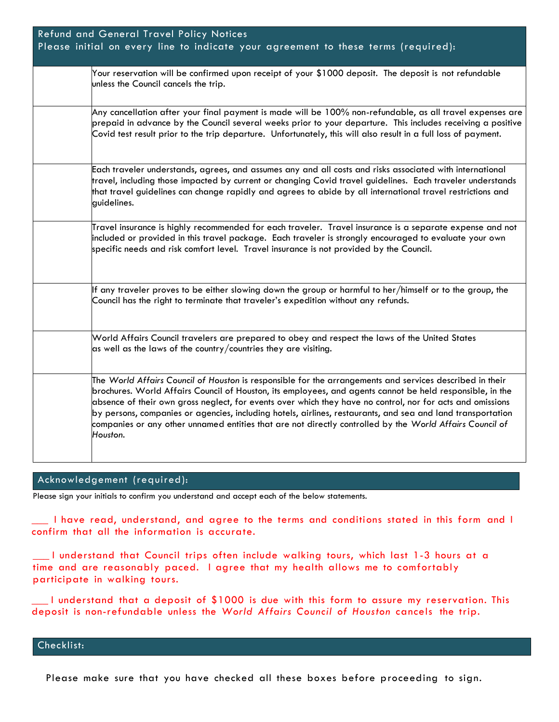| Refund and General Travel Policy Notices<br>Please initial on every line to indicate your agreement to these terms (required):                                                                                                                                                                                                                                                                                                                                                                                                                                             |
|----------------------------------------------------------------------------------------------------------------------------------------------------------------------------------------------------------------------------------------------------------------------------------------------------------------------------------------------------------------------------------------------------------------------------------------------------------------------------------------------------------------------------------------------------------------------------|
| Your reservation will be confirmed upon receipt of your \$1000 deposit. The deposit is not refundable<br>unless the Council cancels the trip.                                                                                                                                                                                                                                                                                                                                                                                                                              |
| Any cancellation after your final payment is made will be 100% non-refundable, as all travel expenses are<br>prepaid in advance by the Council several weeks prior to your departure. This includes receiving a positive<br>Covid test result prior to the trip departure. Unfortunately, this will also result in a full loss of payment.                                                                                                                                                                                                                                 |
| Each traveler understands, agrees, and assumes any and all costs and risks associated with international<br>travel, including those impacted by current or changing Covid travel guidelines. Each traveler understands<br>that travel guidelines can change rapidly and agrees to abide by all international travel restrictions and<br>guidelines.                                                                                                                                                                                                                        |
| Travel insurance is highly recommended for each traveler. Travel insurance is a separate expense and not<br>included or provided in this travel package. Each traveler is strongly encouraged to evaluate your own<br>specific needs and risk comfort level. Travel insurance is not provided by the Council.                                                                                                                                                                                                                                                              |
| If any traveler proves to be either slowing down the group or harmful to her/himself or to the group, the<br>Council has the right to terminate that traveler's expedition without any refunds.                                                                                                                                                                                                                                                                                                                                                                            |
| World Affairs Council travelers are prepared to obey and respect the laws of the United States<br>as well as the laws of the country/countries they are visiting.                                                                                                                                                                                                                                                                                                                                                                                                          |
| The World Affairs Council of Houston is responsible for the arrangements and services described in their<br>brochures. World Affairs Council of Houston, its employees, and agents cannot be held responsible, in the<br>absence of their own gross neglect, for events over which they have no control, nor for acts and omissions<br>by persons, companies or agencies, including hotels, airlines, restaurants, and sea and land transportation<br>companies or any other unnamed entities that are not directly controlled by the World Affairs Council of<br>Houston. |

#### Acknowledgement (required):

Please sign your initials to confirm you understand and accept each of the below statements.

\_\_\_ I have read, understand, and agree to the terms and conditions stated in this form and I confirm that all the information is accurate.

\_\_\_ I understand that Council trips often include walking tours, which last 1-3 hours at a time and are reasonably paced. I agree that my health allows me to comfortably participate in walking tours.

\_\_\_ I understand that a deposit of \$1000 is due with this form to assure my reservation. This deposit is non-refundable unless the *World Affairs Council of Houston* cancels the trip.

Checklist:

Please make sure that you have checked all these boxes before proceeding to sign.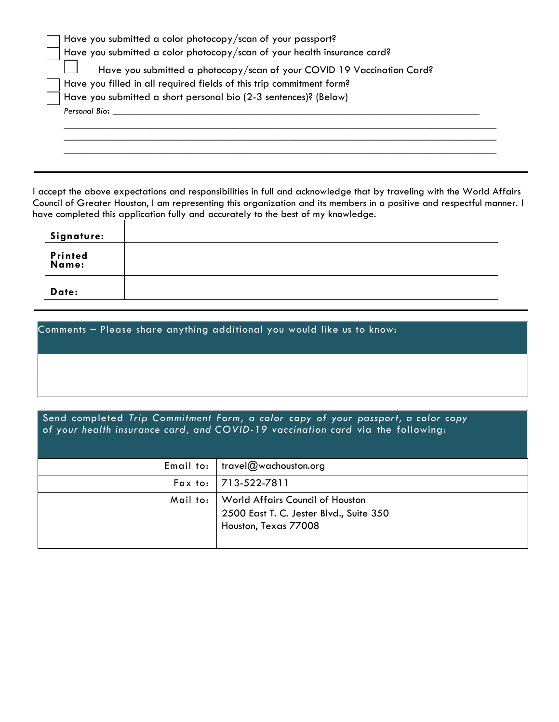| Have you submitted a color photocopy/scan of your passport?              |
|--------------------------------------------------------------------------|
| Have you submitted a color photocopy/scan of your health insurance card? |
| Have you submitted a photocopy/scan of your COVID 19 Vaccination Card?   |
| Have you filled in all required fields of this trip commitment form?     |
| Have you submitted a short personal bio (2-3 sentences)? (Below)         |
| Personal Bio:                                                            |
|                                                                          |
|                                                                          |
|                                                                          |

I accept the above expectations and responsibilities in full and acknowledge that by traveling with the World Affairs Council of Greater Houston, I am representing this organization and its members in a positive and respectful manner. I have completed this application fully and accurately to the best of my knowledge.

| Signature:       |  |
|------------------|--|
| Printed<br>Name: |  |
| Date:            |  |

| Comments - Please share anything additional you would like us to know: |  |
|------------------------------------------------------------------------|--|
|                                                                        |  |
|                                                                        |  |

Send completed *Trip Commitment Form, a color copy of your passport, a color copy of your health insurance card, and COVID-19 vaccination card* via the following:

| Email to:   travel@wachouston.org                                                                              |
|----------------------------------------------------------------------------------------------------------------|
| Fax to: 713-522-7811                                                                                           |
| Mail to:   World Affairs Council of Houston<br>2500 East T. C. Jester Blvd., Suite 350<br>Houston, Texas 77008 |